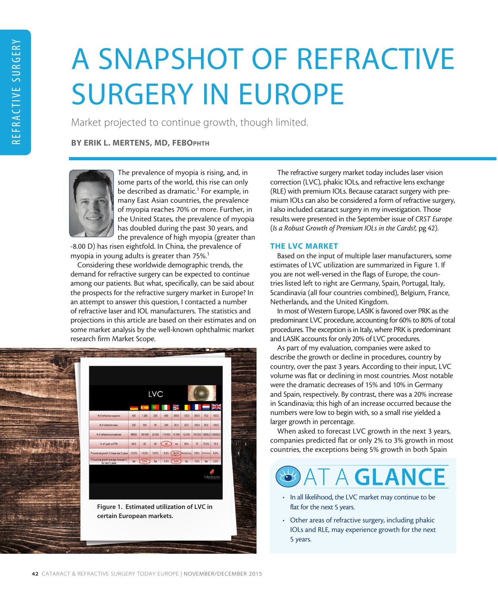# A SNAPSHOT OF REFRACTIVE SURGERY IN EUROPE

Market projected to continue growth, though limited.

## BY ERIK L. MERTENS, MD, FEBOPHTH



The prevalence of myopia is rising, and, in some parts of the world, this rise can only be described as dramatic.<sup>1</sup> For example, in many East Asian countries, the prevalence of myopia reaches 70% or more. Further, in the United States, the prevalence of myopia has doubled during the past 30 years, and the prevalence of high myopia (greater than

-8.00 D) has risen eightfold. In China, the prevalence of myopia in young adults is greater than 75%.<sup>1</sup>

Considering these worldwide demographic trends, the demand for refractive surgery can be expected to continue among our patients. But what, specifically, can be said about the prospects for the refractive surgery market in Europe? In an attempt to answer this question, I contacted a number of refractive laser and IOL manufacturers. The statistics and projections in this article are based on their estimates and on some market analysis by the well-known ophthalmic market research firm Market Scope.



The refractive surgery market today includes laser vision correction (LVC), phakic IOLs, and refractive lens exchange (RLE) with premium IOLs. Because cataract surgery with premium IOLs can also be considered a form of refractive surgery, I also included cataract surgery in my investigation. Those results were presented in the September issue of *CRST Europe* (*Is a Robust Growth of Premium IOLs in the Cards?,* pg 42).

### THE LVC MARKET

Based on the input of multiple laser manufacturers, some estimates of LVC utilization are summarized in Figure 1. If you are not well-versed in the flags of Europe, the countries listed left to right are Germany, Spain, Portugal, Italy, Scandinavia (all four countries combined), Belgium, France, Netherlands, and the United Kingdom.

In most of Western Europe, LASIK is favored over PRK as the predominant LVC procedure, accounting for 60% to 80% of total procedures. The exception is in Italy, where PRK is predominant and LASIK accounts for only 20% of LVC procedures.

As part of my evaluation, companies were asked to describe the growth or decline in procedures, country by country, over the past 3 years. According to their input, LVC volume was flat or declining in most countries. Most notable were the dramatic decreases of 15% and 10% in Germany and Spain, respectively. By contrast, there was a 20% increase in Scandinavia; this high of an increase occurred because the numbers were low to begin with, so a small rise yielded a larger growth in percentage.

When asked to forecast LVC growth in the next 3 years, companies predicted flat or only 2% to 3% growth in most countries, the exceptions being 5% growth in both Spain



- In all likelihood, the LVC market may continue to be flat for the next 5 years.
- Other areas of refractive surgery, including phakic IOLs and RLE, may experience growth for the next 5 years.